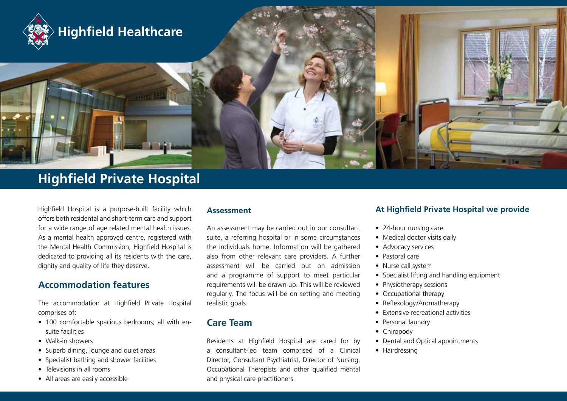

# **Highfield Private Hospital**

Highfield Hospital is a purpose-built facility which offers both residental and short-term care and support for a wide range of age related mental health issues. As a mental health approved centre, registered with the Mental Health Commission, Highfield Hospital is dedicated to providing all its residents with the care, dignity and quality of life they deserve.

## **Accommodation features**

The accommodation at Highfield Private Hospital comprises of:

- 100 comfortable spacious bedrooms, all with ensuite facilities
- Walk-in showers
- Superb dining, lounge and quiet areas
- Specialist bathing and shower facilities
- Televisions in all rooms
- All areas are easily accessible

#### **Assessment**

An assessment may be carried out in our consultant suite, a referring hospital or in some circumstances the individuals home. Information will be gathered also from other relevant care providers. A further assessment will be carried out on admission and a programme of support to meet particular requirements will be drawn up. This will be reviewed regularly. The focus will be on setting and meeting realistic goals.

## **Care Team**

Residents at Highfield Hospital are cared for by a consultant-led team comprised of a Clinical Director, Consultant Psychiatrist, Director of Nursing, Occupational Therepists and other qualified mental and physical care practitioners.

### **At Highfield Private Hospital we provide**

- 24-hour nursing care
- Medical doctor visits daily
- Advocacy services
- • Pastoral care
- Nurse call system
- Specialist lifting and handling equipment
- Physiotherapy sessions
- Occupational therapy
- Reflexology/Aromatherapy
- • Extensive recreational activities
- Personal laundry
- Chiropody
- Dental and Optical appointments
- Hairdressing